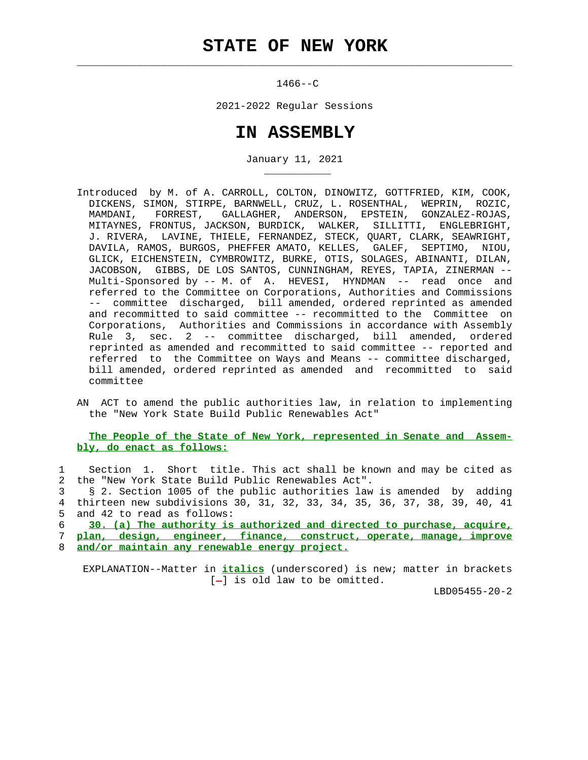$\mathcal{L}_\text{max} = \frac{1}{2} \sum_{i=1}^{n} \frac{1}{2} \sum_{i=1}^{n} \frac{1}{2} \sum_{i=1}^{n} \frac{1}{2} \sum_{i=1}^{n} \frac{1}{2} \sum_{i=1}^{n} \frac{1}{2} \sum_{i=1}^{n} \frac{1}{2} \sum_{i=1}^{n} \frac{1}{2} \sum_{i=1}^{n} \frac{1}{2} \sum_{i=1}^{n} \frac{1}{2} \sum_{i=1}^{n} \frac{1}{2} \sum_{i=1}^{n} \frac{1}{2} \sum_{i=1}^{n} \frac{1$ 

1466--C

2021-2022 Regular Sessions

## **IN ASSEMBLY**

January 11, 2021

- Introduced by M. of A. CARROLL, COLTON, DINOWITZ, GOTTFRIED, KIM, COOK, DICKENS, SIMON, STIRPE, BARNWELL, CRUZ, L. ROSENTHAL, WEPRIN, ROZIC, MAMDANI, FORREST, GALLAGHER, ANDERSON, EPSTEIN, GONZALEZ-ROJAS, MITAYNES, FRONTUS, JACKSON, BURDICK, WALKER, SILLITTI, ENGLEBRIGHT, J. RIVERA, LAVINE, THIELE, FERNANDEZ, STECK, QUART, CLARK, SEAWRIGHT, DAVILA, RAMOS, BURGOS, PHEFFER AMATO, KELLES, GALEF, SEPTIMO, NIOU, GLICK, EICHENSTEIN, CYMBROWITZ, BURKE, OTIS, SOLAGES, ABINANTI, DILAN, JACOBSON, GIBBS, DE LOS SANTOS, CUNNINGHAM, REYES, TAPIA, ZINERMAN -- Multi-Sponsored by -- M. of A. HEVESI, HYNDMAN -- read once and referred to the Committee on Corporations, Authorities and Commissions -- committee discharged, bill amended, ordered reprinted as amended and recommitted to said committee -- recommitted to the Committee on Corporations, Authorities and Commissions in accordance with Assembly Rule 3, sec. 2 -- committee discharged, bill amended, ordered reprinted as amended and recommitted to said committee -- reported and referred to the Committee on Ways and Means -- committee discharged, bill amended, ordered reprinted as amended and recommitted to said committee
- AN ACT to amend the public authorities law, in relation to implementing the "New York State Build Public Renewables Act"

## **The People of the State of New York, represented in Senate and Assem bly, do enact as follows:**

 1 Section 1. Short title. This act shall be known and may be cited as 2 the "New York State Build Public Renewables Act".

 3 § 2. Section 1005 of the public authorities law is amended by adding 4 thirteen new subdivisions 30, 31, 32, 33, 34, 35, 36, 37, 38, 39, 40, 41 5 and 42 to read as follows:

6 **30. (a) The authority is authorized and directed to purchase, acquire,**

7 **plan, design, engineer, finance, construct, operate, manage, improve**

8 **and/or maintain any renewable energy project.**

\_\_\_\_\_\_\_\_\_\_\_

 EXPLANATION--Matter in **italics** (underscored) is new; matter in brackets  $[-]$  is old law to be omitted.

LBD05455-20-2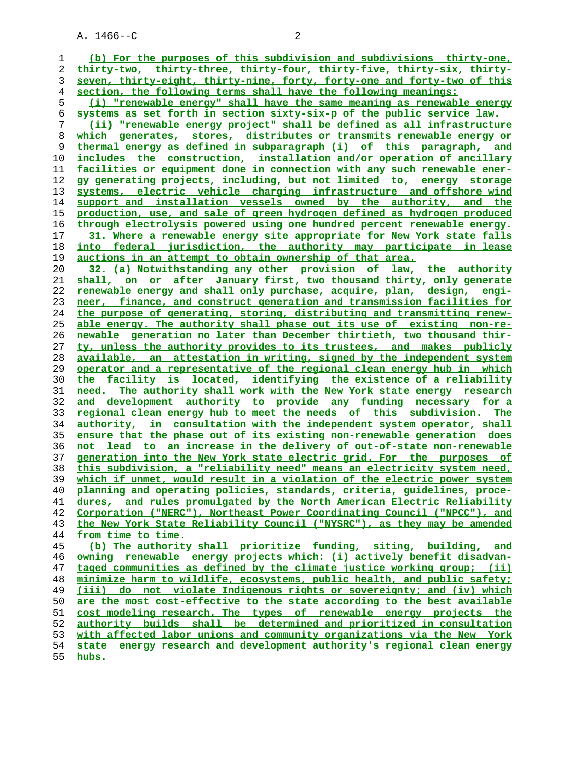**(b) For the purposes of this subdivision and subdivisions thirty-one, thirty-two, thirty-three, thirty-four, thirty-five, thirty-six, thirty- seven, thirty-eight, thirty-nine, forty, forty-one and forty-two of this section, the following terms shall have the following meanings: (i) "renewable energy" shall have the same meaning as renewable energy systems as set forth in section sixty-six-p of the public service law. (ii) "renewable energy project" shall be defined as all infrastructure which generates, stores, distributes or transmits renewable energy or thermal energy as defined in subparagraph (i) of this paragraph, and** includes the construction, installation and/or operation of ancillary **facilities or equipment done in connection with any such renewable ener- gy generating projects, including, but not limited to, energy storage systems, electric vehicle charging infrastructure and offshore wind support and installation vessels owned by the authority, and the production, use, and sale of green hydrogen defined as hydrogen produced through electrolysis powered using one hundred percent renewable energy. 31. Where a renewable energy site appropriate for New York state falls into federal jurisdiction, the authority may participate in lease auctions in an attempt to obtain ownership of that area. 32. (a) Notwithstanding any other provision of law, the authority shall, on or after January first, two thousand thirty, only generate renewable energy and shall only purchase, acquire, plan, design, engi- neer, finance, and construct generation and transmission facilities for the purpose of generating, storing, distributing and transmitting renew- able energy. The authority shall phase out its use of existing non-re- newable generation no later than December thirtieth, two thousand thir- ty, unless the authority provides to its trustees, and makes publicly available, an attestation in writing, signed by the independent system operator and a representative of the regional clean energy hub in which the facility is located, identifying the existence of a reliability need. The authority shall work with the New York state energy research and development authority to provide any funding necessary for a regional clean energy hub to meet the needs of this subdivision. The authority, in consultation with the independent system operator, shall ensure that the phase out of its existing non-renewable generation does not lead to an increase in the delivery of out-of-state non-renewable generation into the New York state electric grid. For the purposes of this subdivision, a "reliability need" means an electricity system need, which if unmet, would result in a violation of the electric power system planning and operating policies, standards, criteria, guidelines, proce- dures, and rules promulgated by the North American Electric Reliability Corporation ("NERC"), Northeast Power Coordinating Council ("NPCC"), and the New York State Reliability Council ("NYSRC"), as they may be amended from time to time. (b) The authority shall prioritize funding, siting, building, and owning renewable energy projects which: (i) actively benefit disadvan- taged communities as defined by the climate justice working group; (ii) minimize harm to wildlife, ecosystems, public health, and public safety; (iii) do not violate Indigenous rights or sovereignty; and (iv) which** are the most cost-effective to the state according to the best available **cost modeling research. The types of renewable energy projects the authority builds shall be determined and prioritized in consultation with affected labor unions and community organizations via the New York state energy research and development authority's regional clean energy**

**hubs.**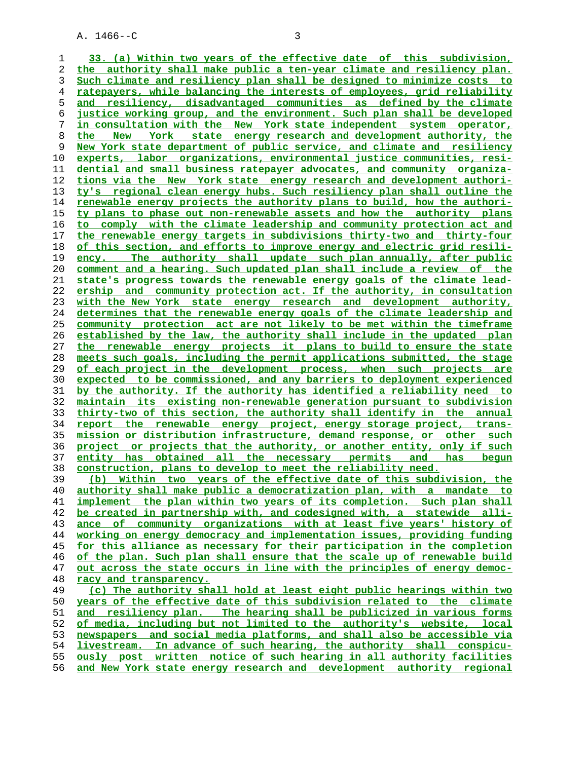**33. (a) Within two years of the effective date of this subdivision, the authority shall make public a ten-year climate and resiliency plan. Such climate and resiliency plan shall be designed to minimize costs to ratepayers, while balancing the interests of employees, grid reliability and resiliency, disadvantaged communities as defined by the climate justice working group, and the environment. Such plan shall be developed in consultation with the New York state independent system operator, the New York state energy research and development authority, the New York state department of public service, and climate and resiliency experts, labor organizations, environmental justice communities, resi- dential and small business ratepayer advocates, and community organiza- tions via the New York state energy research and development authori- ty's regional clean energy hubs. Such resiliency plan shall outline the renewable energy projects the authority plans to build, how the authori- ty plans to phase out non-renewable assets and how the authority plans to comply with the climate leadership and community protection act and the renewable energy targets in subdivisions thirty-two and thirty-four of this section, and efforts to improve energy and electric grid resili- ency. The authority shall update such plan annually, after public comment and a hearing. Such updated plan shall include a review of the state's progress towards the renewable energy goals of the climate lead- ership and community protection act. If the authority, in consultation with the New York state energy research and development authority, determines that the renewable energy goals of the climate leadership and community protection act are not likely to be met within the timeframe established by the law, the authority shall include in the updated plan the renewable energy projects it plans to build to ensure the state meets such goals, including the permit applications submitted, the stage of each project in the development process, when such projects are expected to be commissioned, and any barriers to deployment experienced by the authority. If the authority has identified a reliability need to maintain its existing non-renewable generation pursuant to subdivision thirty-two of this section, the authority shall identify in the annual report the renewable energy project, energy storage project, trans- mission or distribution infrastructure, demand response, or other such project or projects that the authority, or another entity, only if such entity has obtained all the necessary permits and has begun construction, plans to develop to meet the reliability need. (b) Within two years of the effective date of this subdivision, the authority shall make public a democratization plan, with a mandate to implement the plan within two years of its completion. Such plan shall be created in partnership with, and codesigned with, a statewide alli- ance of community organizations with at least five years' history of working on energy democracy and implementation issues, providing funding for this alliance as necessary for their participation in the completion of the plan. Such plan shall ensure that the scale up of renewable build out across the state occurs in line with the principles of energy democ- racy and transparency. (c) The authority shall hold at least eight public hearings within two years of the effective date of this subdivision related to the climate and resiliency plan. The hearing shall be publicized in various forms of media, including but not limited to the authority's website, local newspapers and social media platforms, and shall also be accessible via livestream. In advance of such hearing, the authority shall conspicu- ously post written notice of such hearing in all authority facilities**

**and New York state energy research and development authority regional**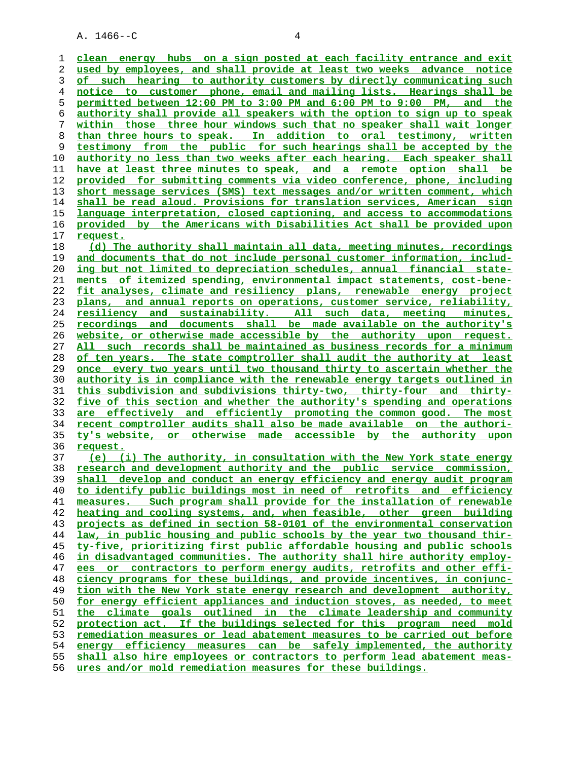**clean energy hubs on a sign posted at each facility entrance and exit used by employees, and shall provide at least two weeks advance notice of such hearing to authority customers by directly communicating such notice to customer phone, email and mailing lists. Hearings shall be permitted between 12:00 PM to 3:00 PM and 6:00 PM to 9:00 PM, and the authority shall provide all speakers with the option to sign up to speak within those three hour windows such that no speaker shall wait longer than three hours to speak. In addition to oral testimony, written testimony from the public for such hearings shall be accepted by the authority no less than two weeks after each hearing. Each speaker shall have at least three minutes to speak, and a remote option shall be provided for submitting comments via video conference, phone, including short message services (SMS) text messages and/or written comment, which shall be read aloud. Provisions for translation services, American sign language interpretation, closed captioning, and access to accommodations provided by the Americans with Disabilities Act shall be provided upon request. (d) The authority shall maintain all data, meeting minutes, recordings and documents that do not include personal customer information, includ- ing but not limited to depreciation schedules, annual financial state- ments of itemized spending, environmental impact statements, cost-bene- fit analyses, climate and resiliency plans, renewable energy project plans, and annual reports on operations, customer service, reliability, resiliency and sustainability. All such data, meeting minutes, recordings and documents shall be made available on the authority's website, or otherwise made accessible by the authority upon request. All such records shall be maintained as business records for a minimum of ten years. The state comptroller shall audit the authority at least once every two years until two thousand thirty to ascertain whether the authority is in compliance with the renewable energy targets outlined in this subdivision and subdivisions thirty-two, thirty-four and thirty- five of this section and whether the authority's spending and operations are effectively and efficiently promoting the common good. The most recent comptroller audits shall also be made available on the authori- ty's website, or otherwise made accessible by the authority upon request. (e) (i) The authority, in consultation with the New York state energy research and development authority and the public service commission, shall develop and conduct an energy efficiency and energy audit program to identify public buildings most in need of retrofits and efficiency measures. Such program shall provide for the installation of renewable heating and cooling systems, and, when feasible, other green building projects as defined in section 58-0101 of the environmental conservation law, in public housing and public schools by the year two thousand thir- ty-five, prioritizing first public affordable housing and public schools in disadvantaged communities. The authority shall hire authority employ- ees or contractors to perform energy audits, retrofits and other effi- ciency programs for these buildings, and provide incentives, in conjunc- tion with the New York state energy research and development authority,** for energy efficient appliances and induction stoves, as needed, to meet **the climate goals outlined in the climate leadership and community protection act. If the buildings selected for this program need mold remediation measures or lead abatement measures to be carried out before energy efficiency measures can be safely implemented, the authority shall also hire employees or contractors to perform lead abatement meas- ures and/or mold remediation measures for these buildings.**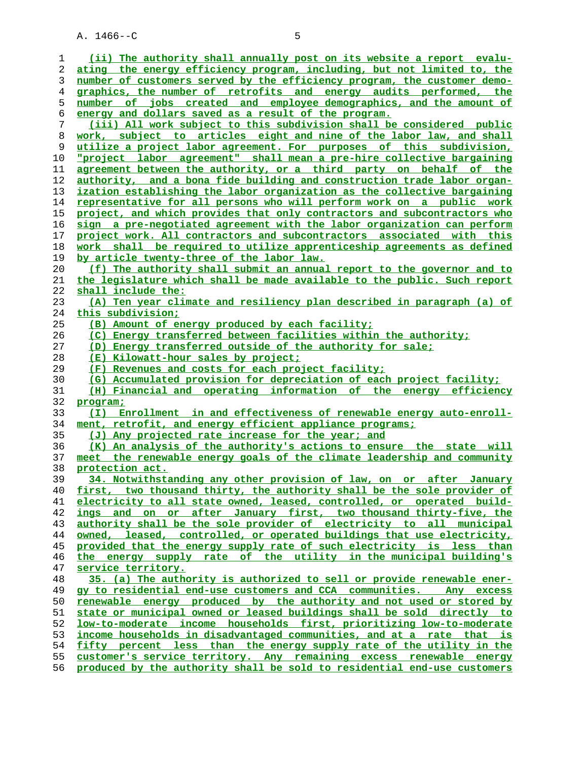| 1        | (ii) The authority shall annually post on its website a report evalu-                                                                           |
|----------|-------------------------------------------------------------------------------------------------------------------------------------------------|
| 2        | ating the energy efficiency program, including, but not limited to, the                                                                         |
| 3        | number of customers served by the efficiency program, the customer demo-                                                                        |
| 4        | graphics, the number of retrofits and energy audits performed, the                                                                              |
| 5        | number of jobs created and employee demographics, and the amount of                                                                             |
| 6        | energy and dollars saved as a result of the program.                                                                                            |
| 7        | (iii) All work subject to this subdivision shall be considered public                                                                           |
| 8        | work, subject to articles eight and nine of the labor law, and shall                                                                            |
| 9        | utilize a project labor agreement. For purposes of this subdivision,                                                                            |
| 10       | <u>"project labor agreement" shall mean a pre-hire collective bargaining</u>                                                                    |
| 11       | agreement between the authority, or a third party on behalf of the                                                                              |
| 12       | authority, and a bona fide building and construction trade labor organ-                                                                         |
| 13       | ization establishing the labor organization as the collective bargaining                                                                        |
| 14       | representative for all persons who will perform work on a public work                                                                           |
| 15       | project, and which provides that only contractors and subcontractors who                                                                        |
| 16       | sign a pre-negotiated agreement with the labor organization can perform                                                                         |
| 17       | project work. All contractors and subcontractors associated with this                                                                           |
| 18       | work shall be required to utilize apprenticeship agreements as defined                                                                          |
| 19       | by article twenty-three of the labor law.                                                                                                       |
| 20       | (f) The authority shall submit an annual report to the governor and to                                                                          |
| 21       | the legislature which shall be made available to the public. Such report                                                                        |
| 22       | shall include the:                                                                                                                              |
| 23       | (A) Ten year climate and resiliency plan described in paragraph (a) of                                                                          |
| 24       | this subdivision;                                                                                                                               |
| 25       | (B) Amount of energy produced by each facility;                                                                                                 |
| 26       | (C) Energy transferred between facilities within the authority;                                                                                 |
| 27       | (D) Energy transferred outside of the authority for sale;                                                                                       |
| 28       | (E) Kilowatt-hour sales by project;                                                                                                             |
| 29       | (F) Revenues and costs for each project facility;                                                                                               |
| 30       | (G) Accumulated provision for depreciation of each project facility;                                                                            |
| 31       | (H) Financial and operating information of the energy efficiency                                                                                |
| 32       | program;                                                                                                                                        |
| 33       | Enrollment in and effectiveness of renewable energy auto-enroll-<br>(I)                                                                         |
| 34       | ment, retrofit, and energy efficient appliance programs;                                                                                        |
| 35       | (J) Any projected rate increase for the year; and                                                                                               |
| 36       | (K) An analysis of the authority's actions to ensure the state will                                                                             |
| 37       | meet the renewable energy goals of the climate leadership and community                                                                         |
| 38       | protection act.                                                                                                                                 |
| 39       | 34. Notwithstanding any other provision of law, on or after<br>January                                                                          |
| 40       | first, two thousand thirty, the authority shall be the sole provider of                                                                         |
| 41       | electricity to all state owned, leased, controlled, or operated build-                                                                          |
| 42       | ings and on or after January first, two thousand thirty-five, the                                                                               |
| 43       | authority shall be the sole provider of electricity to all municipal                                                                            |
| 44       | owned, leased, controlled, or operated buildings that use electricity,                                                                          |
| 45       | provided that the energy supply rate of such electricity is less than                                                                           |
| 46       | the energy supply rate of the utility in the municipal building's                                                                               |
| 47       | service territory.                                                                                                                              |
| 48       | 35. (a) The authority is authorized to sell or provide renewable ener-                                                                          |
| 49       | gy to residential end-use customers and CCA communities. Any excess                                                                             |
| 50       | renewable energy produced by the authority and not used or stored by                                                                            |
| 51       | state or municipal owned or leased buildings shall be sold directly to                                                                          |
| 52       | low-to-moderate income households first, prioritizing low-to-moderate                                                                           |
| 53       | income households in disadvantaged communities, and at a rate that is                                                                           |
| 54       |                                                                                                                                                 |
|          | fifty percent less than the energy supply rate of the utility in the                                                                            |
| 55<br>56 | customer's service territory. Any remaining excess renewable energy<br>produced by the authority shall be sold to residential end-use customers |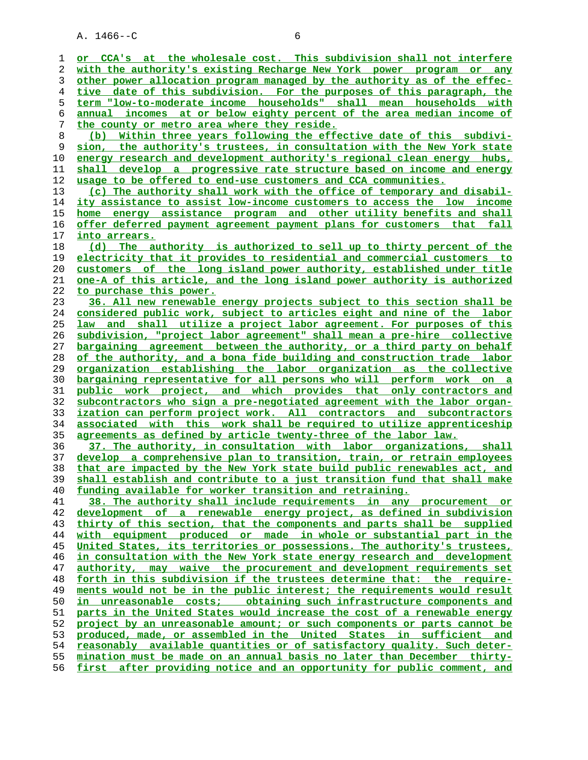A. 1466--C 6 **or CCA's at the wholesale cost. This subdivision shall not interfere with the authority's existing Recharge New York power program or any other power allocation program managed by the authority as of the effec- tive date of this subdivision. For the purposes of this paragraph, the term "low-to-moderate income households" shall mean households with annual incomes at or below eighty percent of the area median income of the county or metro area where they reside. (b) Within three years following the effective date of this subdivi- sion, the authority's trustees, in consultation with the New York state energy research and development authority's regional clean energy hubs, shall develop a progressive rate structure based on income and energy usage to be offered to end-use customers and CCA communities. (c) The authority shall work with the office of temporary and disabil- ity assistance to assist low-income customers to access the low income home energy assistance program and other utility benefits and shall offer deferred payment agreement payment plans for customers that fall into arrears. (d) The authority is authorized to sell up to thirty percent of the electricity that it provides to residential and commercial customers to customers of the long island power authority, established under title one-A of this article, and the long island power authority is authorized to purchase this power. 36. All new renewable energy projects subject to this section shall be considered public work, subject to articles eight and nine of the labor law and shall utilize a project labor agreement. For purposes of this subdivision, "project labor agreement" shall mean a pre-hire collective bargaining agreement between the authority, or a third party on behalf of the authority, and a bona fide building and construction trade labor organization establishing the labor organization as the collective bargaining representative for all persons who will perform work on a public work project, and which provides that only contractors and subcontractors who sign a pre-negotiated agreement with the labor organ- ization can perform project work. All contractors and subcontractors associated with this work shall be required to utilize apprenticeship agreements as defined by article twenty-three of the labor law. 37. The authority, in consultation with labor organizations, shall develop a comprehensive plan to transition, train, or retrain employees that are impacted by the New York state build public renewables act, and shall establish and contribute to a just transition fund that shall make funding available for worker transition and retraining. 38. The authority shall include requirements in any procurement or**

**development of a renewable energy project, as defined in subdivision thirty of this section, that the components and parts shall be supplied with equipment produced or made in whole or substantial part in the United States, its territories or possessions. The authority's trustees, in consultation with the New York state energy research and development authority, may waive the procurement and development requirements set forth in this subdivision if the trustees determine that: the require- ments would not be in the public interest; the requirements would result in unreasonable costs; obtaining such infrastructure components and parts in the United States would increase the cost of a renewable energy project by an unreasonable amount; or such components or parts cannot be produced, made, or assembled in the United States in sufficient and reasonably available quantities or of satisfactory quality. Such deter- mination must be made on an annual basis no later than December thirty- first after providing notice and an opportunity for public comment, and**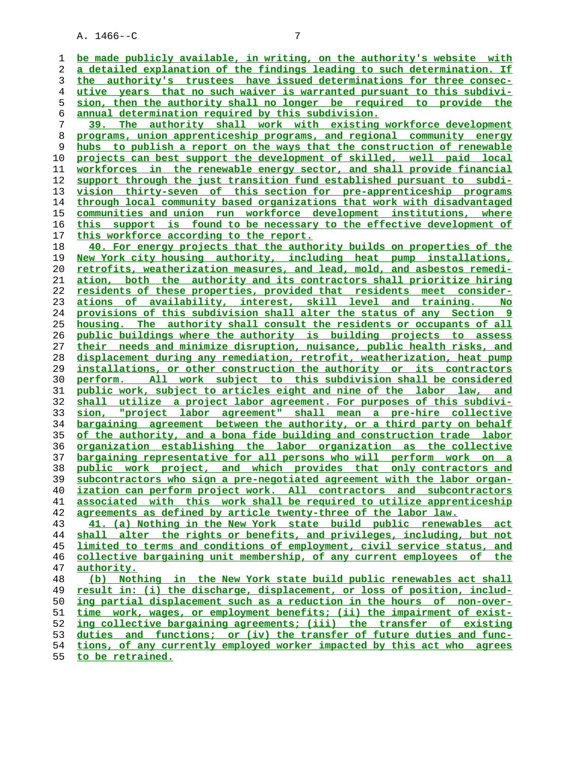**be made publicly available, in writing, on the authority's website with a detailed explanation of the findings leading to such determination. If the authority's trustees have issued determinations for three consec- utive years that no such waiver is warranted pursuant to this subdivi- sion, then the authority shall no longer be required to provide the annual determination required by this subdivision. 39. The authority shall work with existing workforce development programs, union apprenticeship programs, and regional community energy hubs to publish a report on the ways that the construction of renewable projects can best support the development of skilled, well paid local workforces in the renewable energy sector, and shall provide financial support through the just transition fund established pursuant to subdi- vision thirty-seven of this section for pre-apprenticeship programs through local community based organizations that work with disadvantaged communities and union run workforce development institutions, where this support is found to be necessary to the effective development of this workforce according to the report. 40. For energy projects that the authority builds on properties of the New York city housing authority, including heat pump installations, retrofits, weatherization measures, and lead, mold, and asbestos remedi- ation, both the authority and its contractors shall prioritize hiring residents of these properties, provided that residents meet consider- ations of availability, interest, skill level and training. No provisions of this subdivision shall alter the status of any Section 9 housing. The authority shall consult the residents or occupants of all public buildings where the authority is building projects to assess their needs and minimize disruption, nuisance, public health risks, and displacement during any remediation, retrofit, weatherization, heat pump installations, or other construction the authority or its contractors perform. All work subject to this subdivision shall be considered public work, subject to articles eight and nine of the labor law, and shall utilize a project labor agreement. For purposes of this subdivi- sion, "project labor agreement" shall mean a pre-hire collective bargaining agreement between the authority, or a third party on behalf of the authority, and a bona fide building and construction trade labor organization establishing the labor organization as the collective bargaining representative for all persons who will perform work on a public work project, and which provides that only contractors and subcontractors who sign a pre-negotiated agreement with the labor organ- ization can perform project work. All contractors and subcontractors associated with this work shall be required to utilize apprenticeship agreements as defined by article twenty-three of the labor law. 41. (a) Nothing in the New York state build public renewables act shall alter the rights or benefits, and privileges, including, but not limited to terms and conditions of employment, civil service status, and collective bargaining unit membership, of any current employees of the authority. (b) Nothing in the New York state build public renewables act shall result in: (i) the discharge, displacement, or loss of position, includ- ing partial displacement such as a reduction in the hours of non-over- time work, wages, or employment benefits; (ii) the impairment of exist- ing collective bargaining agreements; (iii) the transfer of existing**

**duties and functions; or (iv) the transfer of future duties and func- tions, of any currently employed worker impacted by this act who agrees**

**to be retrained.**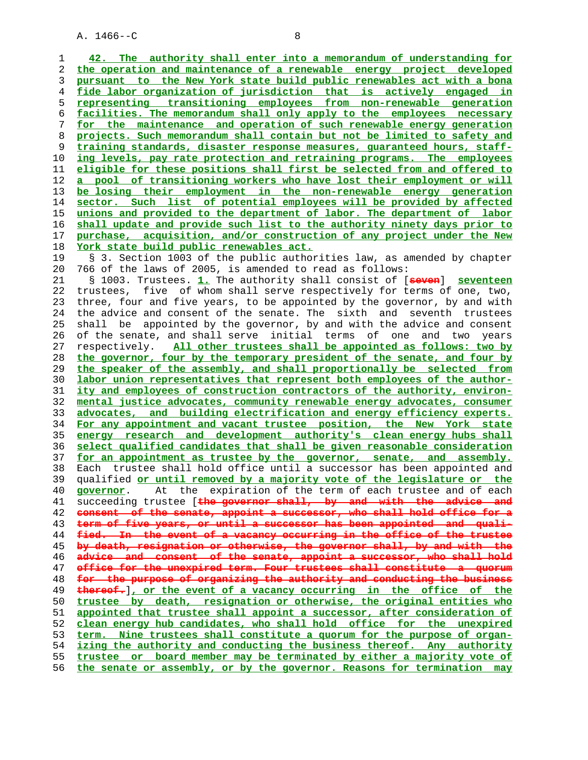**42. The authority shall enter into a memorandum of understanding for the operation and maintenance of a renewable energy project developed pursuant to the New York state build public renewables act with a bona fide labor organization of jurisdiction that is actively engaged in representing transitioning employees from non-renewable generation facilities. The memorandum shall only apply to the employees necessary for the maintenance and operation of such renewable energy generation projects. Such memorandum shall contain but not be limited to safety and training standards, disaster response measures, guaranteed hours, staff** ing levels, pay rate protection and retraining programs. The employees **eligible for these positions shall first be selected from and offered to a pool of transitioning workers who have lost their employment or will be losing their employment in the non-renewable energy generation sector. Such list of potential employees will be provided by affected unions and provided to the department of labor. The department of labor shall update and provide such list to the authority ninety days prior to purchase, acquisition, and/or construction of any project under the New York state build public renewables act.** 19 § 3. Section 1003 of the public authorities law, as amended by chapter 20 766 of the laws of 2005, is amended to read as follows: 21 § 1003. Trustees. **1.** The authority shall consist of [**seven**] **seventeen** 22 trustees, five of whom shall serve respectively for terms of one, two, 23 three, four and five years, to be appointed by the governor, by and with 24 the advice and consent of the senate. The sixth and seventh trustees 25 shall be appointed by the governor, by and with the advice and consent 26 of the senate, and shall serve initial terms of one and two years 27 respectively. **All other trustees shall be appointed as follows: two by the governor, four by the temporary president of the senate, and four by the speaker of the assembly, and shall proportionally be selected from labor union representatives that represent both employees of the author- ity and employees of construction contractors of the authority, environ- mental justice advocates, community renewable energy advocates, consumer advocates, and building electrification and energy efficiency experts. For any appointment and vacant trustee position, the New York state energy research and development authority's clean energy hubs shall select qualified candidates that shall be given reasonable consideration for an appointment as trustee by the governor, senate, and assembly.** 38 Each trustee shall hold office until a successor has been appointed and 39 qualified **or until removed by a majority vote of the legislature or the governor**. At the expiration of the term of each trustee and of each 41 succeeding trustee [**the governor shall, by and with the advice and consent of the senate, appoint a successor, who shall hold office for a term of five years, or until a successor has been appointed and quali- fied. In the event of a vacancy occurring in the office of the trustee by death, resignation or otherwise, the governor shall, by and with the advice and consent of the senate, appoint a successor, who shall hold office for the unexpired term. Four trustees shall constitute for the purpose of organizing the authority and conducting the business thereof.**]**, or the event of a vacancy occurring in the office of the trustee by death, resignation or otherwise, the original entities who appointed that trustee shall appoint a successor, after consideration of clean energy hub candidates, who shall hold office for the unexpired term. Nine trustees shall constitute a quorum for the purpose of organ- izing the authority and conducting the business thereof. Any authority trustee or board member may be terminated by either a majority vote of the senate or assembly, or by the governor. Reasons for termination may**